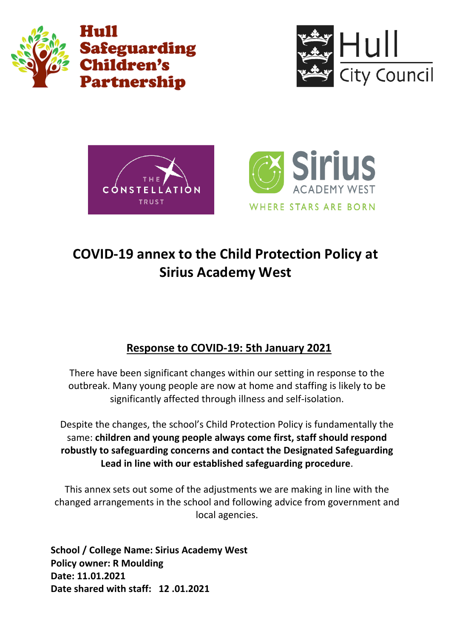







# **COVID-19 annex to the Child Protection Policy at Sirius Academy West**

# **Response to COVID-19: 5th January 2021**

There have been significant changes within our setting in response to the outbreak. Many young people are now at home and staffing is likely to be significantly affected through illness and self-isolation.

Despite the changes, the school's Child Protection Policy is fundamentally the same: **children and young people always come first, staff should respond robustly to safeguarding concerns and contact the Designated Safeguarding Lead in line with our established safeguarding procedure**.

This annex sets out some of the adjustments we are making in line with the changed arrangements in the school and following advice from government and local agencies.

**School / College Name: Sirius Academy West Policy owner: R Moulding Date: 11.01.2021 Date shared with staff: 12 .01.2021**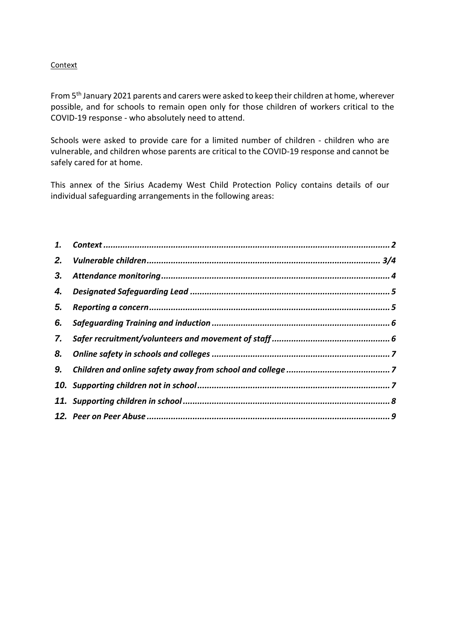## Context

From 5th January 2021 parents and carers were asked to keep their children at home, wherever possible, and for schools to remain open only for those children of workers critical to the COVID-19 response - who absolutely need to attend.

Schools were asked to provide care for a limited number of children - children who are vulnerable, and children whose parents are critical to the COVID-19 response and cannot be safely cared for at home.

This annex of the Sirius Academy West Child Protection Policy contains details of our individual safeguarding arrangements in the following areas:

| 2. |  |
|----|--|
|    |  |
|    |  |
| 5. |  |
| 6. |  |
| 7. |  |
| 8. |  |
|    |  |
|    |  |
|    |  |
|    |  |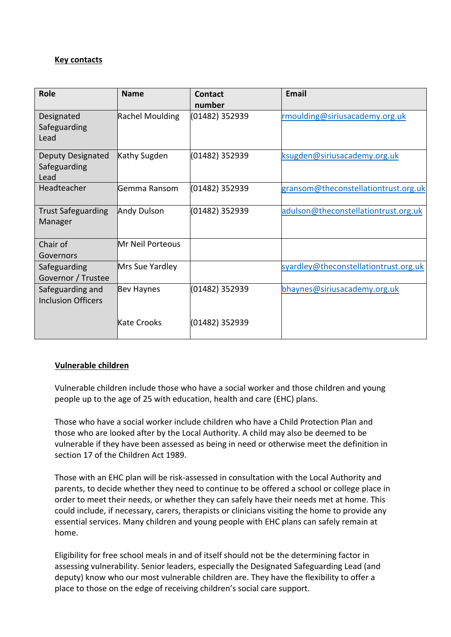# **Key contacts**

| <b>Role</b>                                   | <b>Name</b>        | Contact<br>number | <b>Fmail</b>                          |
|-----------------------------------------------|--------------------|-------------------|---------------------------------------|
| Designated<br>Safeguarding<br>Lead            | Rachel Moulding    | (01482) 352939    | rmoulding@siriusacademy.org.uk        |
| Deputy Designated<br>Safeguarding<br>Lead     | Kathy Sugden       | (01482) 352939    | ksugden@siriusacademy.org.uk          |
| Headteacher                                   | Gemma Ransom       | (01482) 352939    | gransom@theconstellationtrust.org.uk  |
| <b>Trust Safeguarding</b><br>Manager          | <b>Andy Dulson</b> | (01482) 352939    | adulson@theconstellationtrust.org.uk  |
| Chair of<br>Governors                         | Mr Neil Porteous   |                   |                                       |
| Safeguarding<br>Governor / Trustee            | Mrs Sue Yardley    |                   | syardley@theconstellationtrust.org.uk |
| Safeguarding and<br><b>Inclusion Officers</b> | Bev Haynes         | (01482) 352939    | bhaynes@siriusacademy.org.uk          |
|                                               | Kate Crooks        | (01482) 352939    |                                       |

# **Vulnerable children**

Vulnerable children include those who have a social worker and those children and young people up to the age of 25 with education, health and care (EHC) plans.

Those who have a social worker include children who have a Child Protection Plan and those who are looked after by the Local Authority. A child may also be deemed to be vulnerable if they have been assessed as being in need or otherwise meet the definition in section 17 of the Children Act 1989.

Those with an EHC plan will be risk-assessed in consultation with the Local Authority and parents, to decide whether they need to continue to be offered a school or college place in order to meet their needs, or whether they can safely have their needs met at home. This could include, if necessary, carers, therapists or clinicians visiting the home to provide any essential services. Many children and young people with EHC plans can safely remain at home.

Eligibility for free school meals in and of itself should not be the determining factor in assessing vulnerability. Senior leaders, especially the Designated Safeguarding Lead (and deputy) know who our most vulnerable children are. They have the flexibility to offer a place to those on the edge of receiving children's social care support.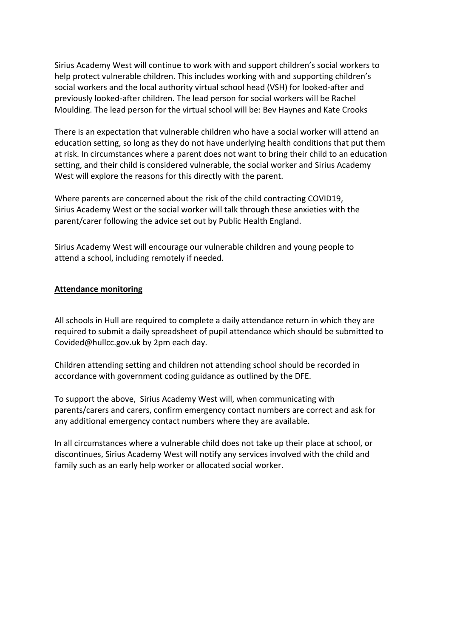Sirius Academy West will continue to work with and support children's social workers to help protect vulnerable children. This includes working with and supporting children's social workers and the local authority virtual school head (VSH) for looked-after and previously looked-after children. The lead person for social workers will be Rachel Moulding. The lead person for the virtual school will be: Bev Haynes and Kate Crooks

There is an expectation that vulnerable children who have a social worker will attend an education setting, so long as they do not have underlying health conditions that put them at risk. In circumstances where a parent does not want to bring their child to an education setting, and their child is considered vulnerable, the social worker and Sirius Academy West will explore the reasons for this directly with the parent.

Where parents are concerned about the risk of the child contracting COVID19, Sirius Academy West or the social worker will talk through these anxieties with the parent/carer following the advice set out by Public Health England.

Sirius Academy West will encourage our vulnerable children and young people to attend a school, including remotely if needed.

#### **Attendance monitoring**

All schools in Hull are required to complete a daily attendance return in which they are required to submit a daily spreadsheet of pupil attendance which should be submitted to Covided@hullcc.gov.uk by 2pm each day.

Children attending setting and children not attending school should be recorded in accordance with government coding guidance as outlined by the DFE.

To support the above, Sirius Academy West will, when communicating with parents/carers and carers, confirm emergency contact numbers are correct and ask for any additional emergency contact numbers where they are available.

In all circumstances where a vulnerable child does not take up their place at school, or discontinues, Sirius Academy West will notify any services involved with the child and family such as an early help worker or allocated social worker.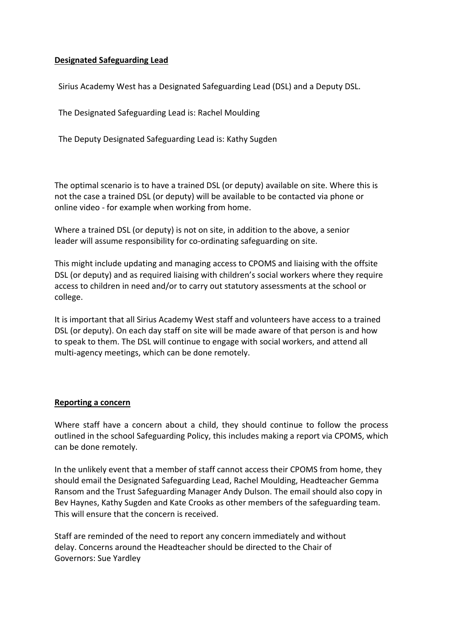### **Designated Safeguarding Lead**

Sirius Academy West has a Designated Safeguarding Lead (DSL) and a Deputy DSL.

The Designated Safeguarding Lead is: Rachel Moulding

The Deputy Designated Safeguarding Lead is: Kathy Sugden

The optimal scenario is to have a trained DSL (or deputy) available on site. Where this is not the case a trained DSL (or deputy) will be available to be contacted via phone or online video - for example when working from home.

Where a trained DSL (or deputy) is not on site, in addition to the above, a senior leader will assume responsibility for co-ordinating safeguarding on site.

This might include updating and managing access to CPOMS and liaising with the offsite DSL (or deputy) and as required liaising with children's social workers where they require access to children in need and/or to carry out statutory assessments at the school or college.

It is important that all Sirius Academy West staff and volunteers have access to a trained DSL (or deputy). On each day staff on site will be made aware of that person is and how to speak to them. The DSL will continue to engage with social workers, and attend all multi-agency meetings, which can be done remotely.

#### **Reporting a concern**

Where staff have a concern about a child, they should continue to follow the process outlined in the school Safeguarding Policy, this includes making a report via CPOMS, which can be done remotely.

In the unlikely event that a member of staff cannot access their CPOMS from home, they should email the Designated Safeguarding Lead, Rachel Moulding, Headteacher Gemma Ransom and the Trust Safeguarding Manager Andy Dulson. The email should also copy in Bev Haynes, Kathy Sugden and Kate Crooks as other members of the safeguarding team. This will ensure that the concern is received.

Staff are reminded of the need to report any concern immediately and without delay. Concerns around the Headteacher should be directed to the Chair of Governors: Sue Yardley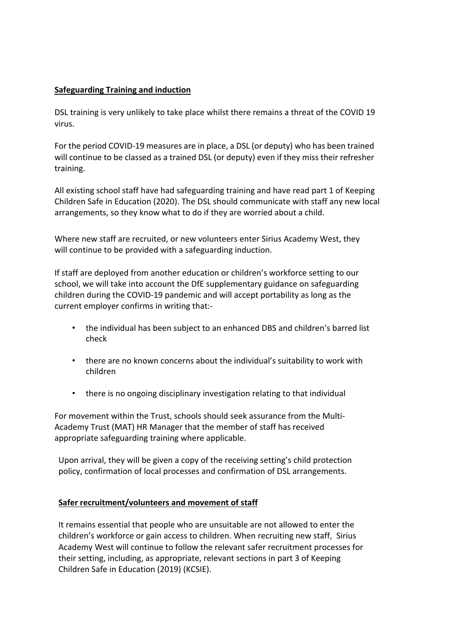## **Safeguarding Training and induction**

DSL training is very unlikely to take place whilst there remains a threat of the COVID 19 virus.

For the period COVID-19 measures are in place, a DSL (or deputy) who has been trained will continue to be classed as a trained DSL (or deputy) even if they miss their refresher training.

All existing school staff have had safeguarding training and have read part 1 of Keeping Children Safe in Education (2020). The DSL should communicate with staff any new local arrangements, so they know what to do if they are worried about a child.

Where new staff are recruited, or new volunteers enter Sirius Academy West, they will continue to be provided with a safeguarding induction.

If staff are deployed from another education or children's workforce setting to our school, we will take into account the DfE supplementary guidance on safeguarding children during the COVID-19 pandemic and will accept portability as long as the current employer confirms in writing that:-

- the individual has been subject to an enhanced DBS and children's barred list check
- there are no known concerns about the individual's suitability to work with children
- there is no ongoing disciplinary investigation relating to that individual

For movement within the Trust, schools should seek assurance from the Multi-Academy Trust (MAT) HR Manager that the member of staff has received appropriate safeguarding training where applicable.

Upon arrival, they will be given a copy of the receiving setting's child protection policy, confirmation of local processes and confirmation of DSL arrangements.

#### **Safer recruitment/volunteers and movement of staff**

It remains essential that people who are unsuitable are not allowed to enter the children's workforce or gain access to children. When recruiting new staff, Sirius Academy West will continue to follow the relevant safer recruitment processes for their setting, including, as appropriate, relevant sections in part 3 of Keeping Children Safe in Education (2019) (KCSIE).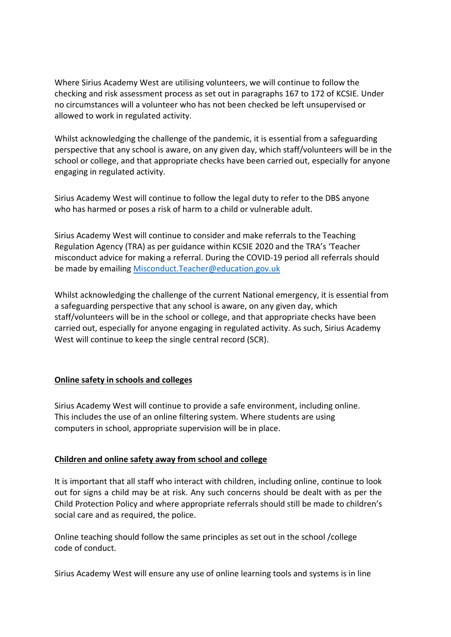Where Sirius Academy West are utilising volunteers, we will continue to follow the checking and risk assessment process as set out in paragraphs 167 to 172 of KCSIE. Under no circumstances will a volunteer who has not been checked be left unsupervised or allowed to work in regulated activity.

Whilst acknowledging the challenge of the pandemic, it is essential from a safeguarding perspective that any school is aware, on any given day, which staff/volunteers will be in the school or college, and that appropriate checks have been carried out, especially for anyone engaging in regulated activity.

Sirius Academy West will continue to follow the legal duty to refer to the DBS anyone who has harmed or poses a risk of harm to a child or vulnerable adult.

Sirius Academy West will continue to consider and make referrals to the Teaching Regulation Agency (TRA) as per guidance within KCSIE 2020 and the TRA's 'Teacher misconduct advice for making a referral. During the COVID-19 period all referrals should be made by emailing [Misconduct.Teacher@education.gov.uk](mailto:Misconduct.Teacher@education.gov.uk)

Whilst acknowledging the challenge of the current National emergency, it is essential from a safeguarding perspective that any school is aware, on any given day, which staff/volunteers will be in the school or college, and that appropriate checks have been carried out, especially for anyone engaging in regulated activity. As such, Sirius Academy West will continue to keep the single central record (SCR).

# **Online safety in schools and colleges**

Sirius Academy West will continue to provide a safe environment, including online. This includes the use of an online filtering system. Where students are using computers in school, appropriate supervision will be in place.

#### **Children and online safety away from school and college**

It is important that all staff who interact with children, including online, continue to look out for signs a child may be at risk. Any such concerns should be dealt with as per the Child Protection Policy and where appropriate referrals should still be made to children's social care and as required, the police.

Online teaching should follow the same principles as set out in the school /college code of conduct.

Sirius Academy West will ensure any use of online learning tools and systems is in line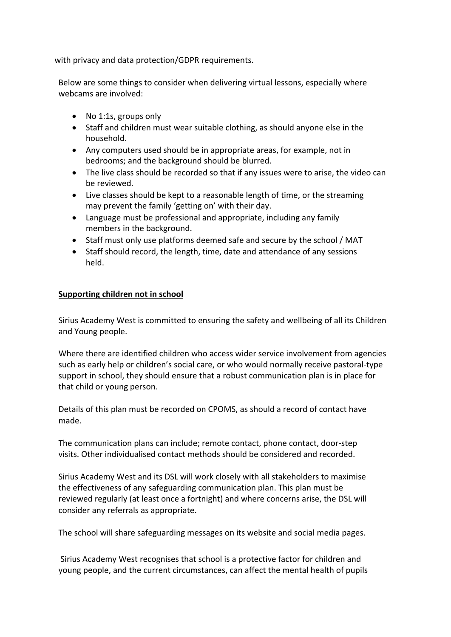with privacy and data protection/GDPR requirements.

Below are some things to consider when delivering virtual lessons, especially where webcams are involved:

- No 1:1s, groups only
- Staff and children must wear suitable clothing, as should anyone else in the household.
- Any computers used should be in appropriate areas, for example, not in bedrooms; and the background should be blurred.
- The live class should be recorded so that if any issues were to arise, the video can be reviewed.
- Live classes should be kept to a reasonable length of time, or the streaming may prevent the family 'getting on' with their day.
- Language must be professional and appropriate, including any family members in the background.
- Staff must only use platforms deemed safe and secure by the school / MAT
- Staff should record, the length, time, date and attendance of any sessions held.

# **Supporting children not in school**

Sirius Academy West is committed to ensuring the safety and wellbeing of all its Children and Young people.

Where there are identified children who access wider service involvement from agencies such as early help or children's social care, or who would normally receive pastoral-type support in school, they should ensure that a robust communication plan is in place for that child or young person.

Details of this plan must be recorded on CPOMS, as should a record of contact have made.

The communication plans can include; remote contact, phone contact, door-step visits. Other individualised contact methods should be considered and recorded.

Sirius Academy West and its DSL will work closely with all stakeholders to maximise the effectiveness of any safeguarding communication plan. This plan must be reviewed regularly (at least once a fortnight) and where concerns arise, the DSL will consider any referrals as appropriate.

The school will share safeguarding messages on its website and social media pages.

Sirius Academy West recognises that school is a protective factor for children and young people, and the current circumstances, can affect the mental health of pupils